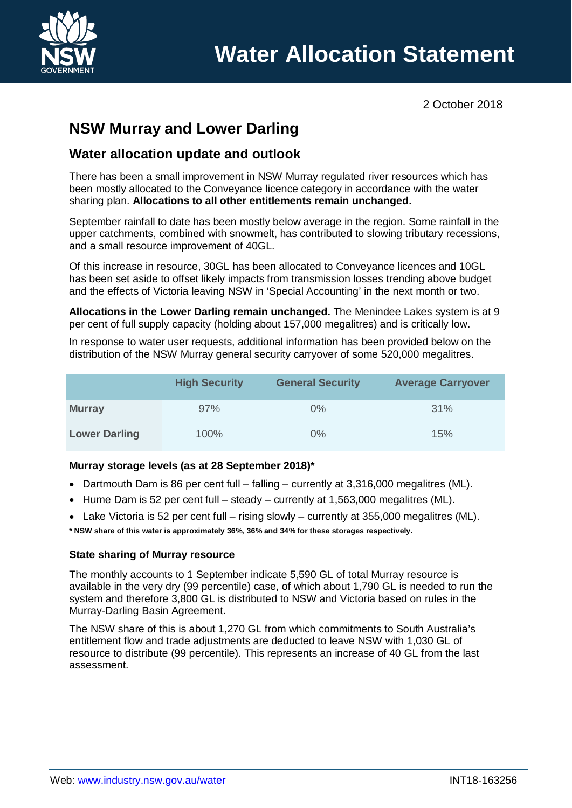

2 October 2018

# **NSW Murray and Lower Darling**

# **Water allocation update and outlook**

There has been a small improvement in NSW Murray regulated river resources which has been mostly allocated to the Conveyance licence category in accordance with the water sharing plan. **Allocations to all other entitlements remain unchanged.**

September rainfall to date has been mostly below average in the region. Some rainfall in the upper catchments, combined with snowmelt, has contributed to slowing tributary recessions, and a small resource improvement of 40GL.

Of this increase in resource, 30GL has been allocated to Conveyance licences and 10GL has been set aside to offset likely impacts from transmission losses trending above budget and the effects of Victoria leaving NSW in 'Special Accounting' in the next month or two.

**Allocations in the Lower Darling remain unchanged.** The Menindee Lakes system is at 9 per cent of full supply capacity (holding about 157,000 megalitres) and is critically low.

In response to water user requests, additional information has been provided below on the distribution of the NSW Murray general security carryover of some 520,000 megalitres.

|                      | <b>High Security</b> | <b>General Security</b> | <b>Average Carryover</b> |
|----------------------|----------------------|-------------------------|--------------------------|
| <b>Murray</b>        | 97%                  | $0\%$                   | 31%                      |
| <b>Lower Darling</b> | 100%                 | $0\%$                   | 15%                      |

#### **Murray storage levels (as at 28 September 2018)\***

- Dartmouth Dam is 86 per cent full falling currently at 3,316,000 megalitres (ML).
- Hume Dam is 52 per cent full steady currently at 1,563,000 megalitres (ML).
- Lake Victoria is 52 per cent full rising slowly currently at 355,000 megalitres (ML).

**\* NSW share of this water is approximately 36%, 36% and 34% for these storages respectively.**

#### **State sharing of Murray resource**

The monthly accounts to 1 September indicate 5,590 GL of total Murray resource is available in the very dry (99 percentile) case, of which about 1,790 GL is needed to run the system and therefore 3,800 GL is distributed to NSW and Victoria based on rules in the Murray-Darling Basin Agreement.

The NSW share of this is about 1,270 GL from which commitments to South Australia's entitlement flow and trade adjustments are deducted to leave NSW with 1,030 GL of resource to distribute (99 percentile). This represents an increase of 40 GL from the last assessment.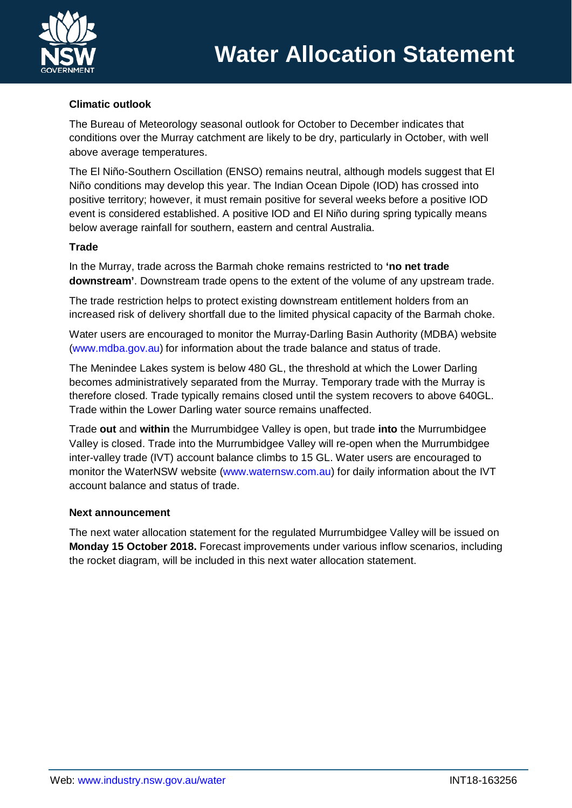

### **Climatic outlook**

The Bureau of Meteorology seasonal outlook for October to December indicates that conditions over the Murray catchment are likely to be dry, particularly in October, with well above average temperatures.

The El Niño-Southern Oscillation (ENSO) remains neutral, although models suggest that El Niño conditions may develop this year. The Indian Ocean Dipole (IOD) has crossed into positive territory; however, it must remain positive for several weeks before a positive IOD event is considered established. A positive IOD and El Niño during spring typically means below average rainfall for southern, eastern and central Australia.

#### **Trade**

In the Murray, trade across the Barmah choke remains restricted to **'no net trade downstream'**. Downstream trade opens to the extent of the volume of any upstream trade.

The trade restriction helps to protect existing downstream entitlement holders from an increased risk of delivery shortfall due to the limited physical capacity of the Barmah choke.

Water users are encouraged to monitor the Murray-Darling Basin Authority (MDBA) website [\(www.mdba.gov.au\)](http://www.mdba.gov.au/) for information about the trade balance and status of trade.

The Menindee Lakes system is below 480 GL, the threshold at which the Lower Darling becomes administratively separated from the Murray. Temporary trade with the Murray is therefore closed. Trade typically remains closed until the system recovers to above 640GL. Trade within the Lower Darling water source remains unaffected.

Trade **out** and **within** the Murrumbidgee Valley is open, but trade **into** the Murrumbidgee Valley is closed. Trade into the Murrumbidgee Valley will re-open when the Murrumbidgee inter-valley trade (IVT) account balance climbs to 15 GL. Water users are encouraged to monitor the WaterNSW website [\(www.waternsw.com.au\)](http://www.waternsw.com.au/) for daily information about the IVT account balance and status of trade.

#### **Next announcement**

The next water allocation statement for the regulated Murrumbidgee Valley will be issued on **Monday 15 October 2018.** Forecast improvements under various inflow scenarios, including the rocket diagram, will be included in this next water allocation statement.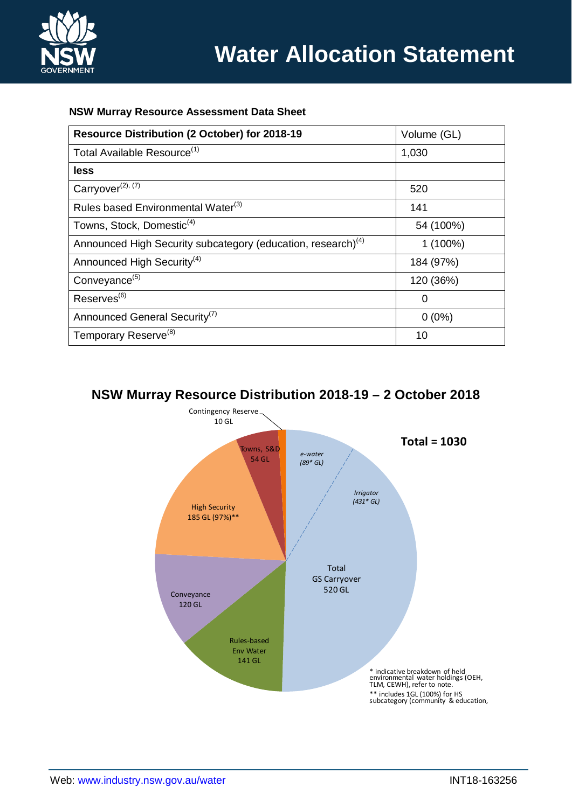

#### **NSW Murray Resource Assessment Data Sheet**

| Resource Distribution (2 October) for 2018-19                            | Volume (GL) |  |
|--------------------------------------------------------------------------|-------------|--|
| Total Available Resource <sup>(1)</sup>                                  | 1,030       |  |
| less                                                                     |             |  |
| Carryover <sup>(2), (7)</sup>                                            | 520         |  |
| Rules based Environmental Water <sup>(3)</sup>                           | 141         |  |
| Towns, Stock, Domestic <sup>(4)</sup>                                    | 54 (100%)   |  |
| Announced High Security subcategory (education, research) <sup>(4)</sup> | $1(100\%)$  |  |
| Announced High Security <sup>(4)</sup>                                   | 184 (97%)   |  |
| Conveyance <sup>(5)</sup>                                                | 120 (36%)   |  |
| Reserves <sup>(6)</sup>                                                  | 0           |  |
| Announced General Security <sup>(7)</sup>                                | $0(0\%)$    |  |
| Temporary Reserve <sup>(8)</sup>                                         | 10          |  |

## **NSW Murray Resource Distribution 2018-19 – 2 October 2018**

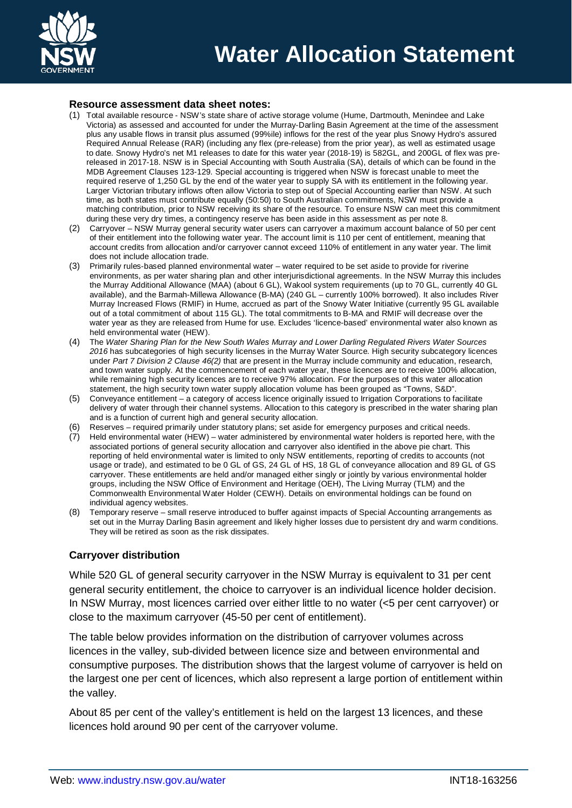

#### **Resource assessment data sheet notes:**

- (1) Total available resource NSW's state share of active storage volume (Hume, Dartmouth, Menindee and Lake Victoria) as assessed and accounted for under the Murray-Darling Basin Agreement at the time of the assessment plus any usable flows in transit plus assumed (99%ile) inflows for the rest of the year plus Snowy Hydro's assured Required Annual Release (RAR) (including any flex (pre-release) from the prior year), as well as estimated usage to date. Snowy Hydro's net M1 releases to date for this water year (2018-19) is 582GL, and 200GL of flex was prereleased in 2017-18. NSW is in Special Accounting with South Australia (SA), details of which can be found in the MDB Agreement Clauses 123-129. Special accounting is triggered when NSW is forecast unable to meet the required reserve of 1,250 GL by the end of the water year to supply SA with its entitlement in the following year. Larger Victorian tributary inflows often allow Victoria to step out of Special Accounting earlier than NSW. At such time, as both states must contribute equally (50:50) to South Australian commitments, NSW must provide a matching contribution, prior to NSW receiving its share of the resource. To ensure NSW can meet this commitment during these very dry times, a contingency reserve has been aside in this assessment as per note 8.
- (2) Carryover NSW Murray general security water users can carryover a maximum account balance of 50 per cent of their entitlement into the following water year. The account limit is 110 per cent of entitlement, meaning that account credits from allocation and/or carryover cannot exceed 110% of entitlement in any water year. The limit does not include allocation trade.
- (3) Primarily rules-based planned environmental water water required to be set aside to provide for riverine environments, as per water sharing plan and other interjurisdictional agreements. In the NSW Murray this includes the Murray Additional Allowance (MAA) (about 6 GL), Wakool system requirements (up to 70 GL, currently 40 GL available), and the Barmah-Millewa Allowance (B-MA) (240 GL – currently 100% borrowed). It also includes River Murray Increased Flows (RMIF) in Hume, accrued as part of the Snowy Water Initiative (currently 95 GL available out of a total commitment of about 115 GL). The total commitments to B-MA and RMIF will decrease over the water year as they are released from Hume for use. Excludes 'licence-based' environmental water also known as held environmental water (HEW).
- (4) The *Water Sharing Plan for the New South Wales Murray and Lower Darling Regulated Rivers Water Sources 2016* has subcategories of high security licenses in the Murray Water Source. High security subcategory licences under *Part 7 Division 2 Clause 46(2)* that are present in the Murray include community and education, research, and town water supply. At the commencement of each water year, these licences are to receive 100% allocation, while remaining high security licences are to receive 97% allocation. For the purposes of this water allocation statement, the high security town water supply allocation volume has been grouped as "Towns, S&D".
- (5) Conveyance entitlement a category of access licence originally issued to Irrigation Corporations to facilitate delivery of water through their channel systems. Allocation to this category is prescribed in the water sharing plan and is a function of current high and general security allocation.
- (6) Reserves required primarily under statutory plans; set aside for emergency purposes and critical needs.
- (7) Held environmental water (HEW) water administered by environmental water holders is reported here, with the associated portions of general security allocation and carryover also identified in the above pie chart. This reporting of held environmental water is limited to only NSW entitlements, reporting of credits to accounts (not usage or trade), and estimated to be 0 GL of GS, 24 GL of HS, 18 GL of conveyance allocation and 89 GL of GS carryover. These entitlements are held and/or managed either singly or jointly by various environmental holder groups, including the NSW Office of Environment and Heritage (OEH), The Living Murray (TLM) and the Commonwealth Environmental Water Holder (CEWH). Details on environmental holdings can be found on individual agency websites.
- (8) Temporary reserve small reserve introduced to buffer against impacts of Special Accounting arrangements as set out in the Murray Darling Basin agreement and likely higher losses due to persistent dry and warm conditions. They will be retired as soon as the risk dissipates.

#### **Carryover distribution**

While 520 GL of general security carryover in the NSW Murray is equivalent to 31 per cent general security entitlement, the choice to carryover is an individual licence holder decision. In NSW Murray, most licences carried over either little to no water (<5 per cent carryover) or close to the maximum carryover (45-50 per cent of entitlement).

The table below provides information on the distribution of carryover volumes across licences in the valley, sub-divided between licence size and between environmental and consumptive purposes. The distribution shows that the largest volume of carryover is held on the largest one per cent of licences, which also represent a large portion of entitlement within the valley.

About 85 per cent of the valley's entitlement is held on the largest 13 licences, and these licences hold around 90 per cent of the carryover volume.